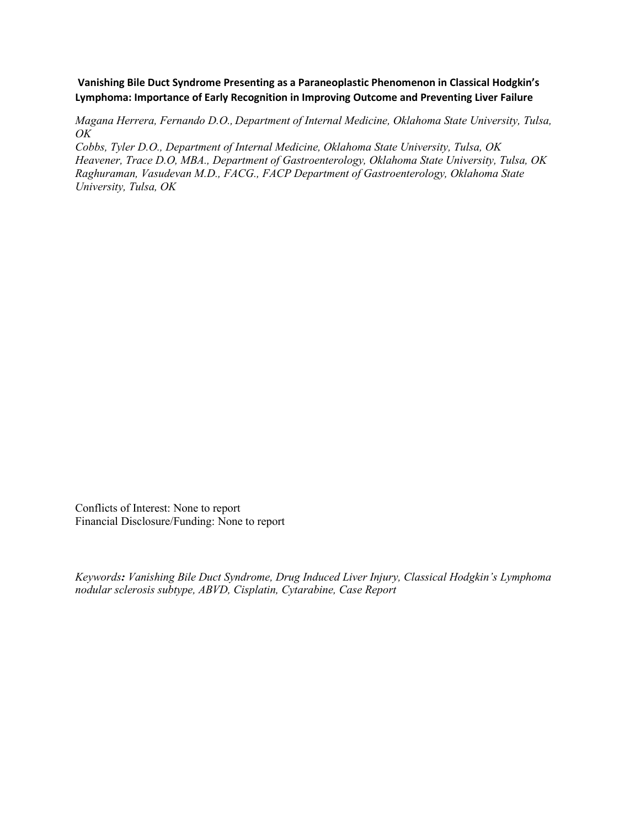**Vanishing Bile Duct Syndrome Presenting as a Paraneoplastic Phenomenon in Classical Hodgkin's Lymphoma: Importance of Early Recognition in Improving Outcome and Preventing Liver Failure** 

*Magana Herrera, Fernando D.O., Department of Internal Medicine, Oklahoma State University, Tulsa, OK*

*Cobbs, Tyler D.O., Department of Internal Medicine, Oklahoma State University, Tulsa, OK Heavener, Trace D.O, MBA., Department of Gastroenterology, Oklahoma State University, Tulsa, OK Raghuraman, Vasudevan M.D., FACG., FACP Department of Gastroenterology, Oklahoma State University, Tulsa, OK*

Conflicts of Interest: None to report Financial Disclosure/Funding: None to report

*Keywords: Vanishing Bile Duct Syndrome, Drug Induced Liver Injury, Classical Hodgkin's Lymphoma nodular sclerosis subtype, ABVD, Cisplatin, Cytarabine, Case Report*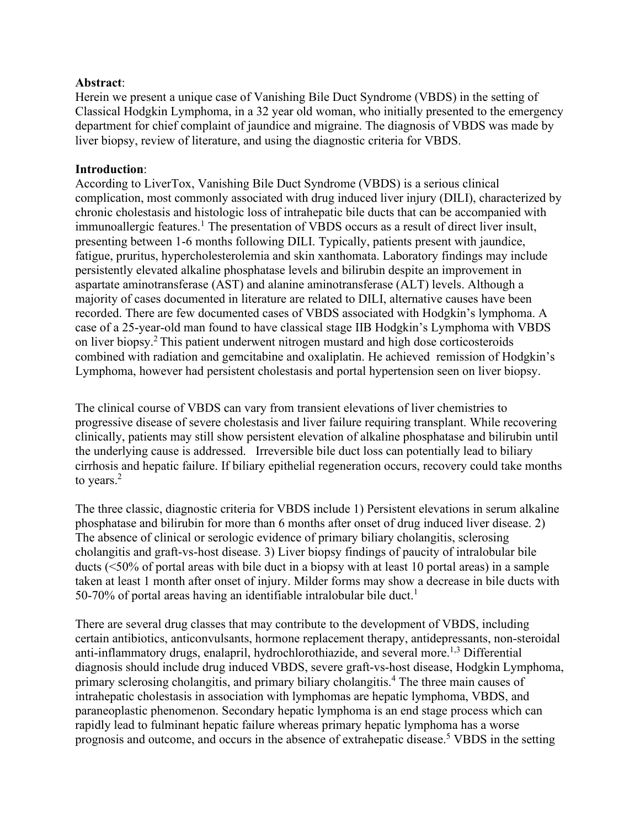## **Abstract**:

Herein we present a unique case of Vanishing Bile Duct Syndrome (VBDS) in the setting of Classical Hodgkin Lymphoma, in a 32 year old woman, who initially presented to the emergency department for chief complaint of jaundice and migraine. The diagnosis of VBDS was made by liver biopsy, review of literature, and using the diagnostic criteria for VBDS.

## **Introduction**:

According to LiverTox, Vanishing Bile Duct Syndrome (VBDS) is a serious clinical complication, most commonly associated with drug induced liver injury (DILI), characterized by chronic cholestasis and histologic loss of intrahepatic bile ducts that can be accompanied with immunoallergic features.<sup>1</sup> The presentation of VBDS occurs as a result of direct liver insult, presenting between 1-6 months following DILI. Typically, patients present with jaundice, fatigue, pruritus, hypercholesterolemia and skin xanthomata. Laboratory findings may include persistently elevated alkaline phosphatase levels and bilirubin despite an improvement in aspartate aminotransferase (AST) and alanine aminotransferase (ALT) levels. Although a majority of cases documented in literature are related to DILI, alternative causes have been recorded. There are few documented cases of VBDS associated with Hodgkin's lymphoma. A case of a 25-year-old man found to have classical stage IIB Hodgkin's Lymphoma with VBDS on liver biopsy.2 This patient underwent nitrogen mustard and high dose corticosteroids combined with radiation and gemcitabine and oxaliplatin. He achieved remission of Hodgkin's Lymphoma, however had persistent cholestasis and portal hypertension seen on liver biopsy.

The clinical course of VBDS can vary from transient elevations of liver chemistries to progressive disease of severe cholestasis and liver failure requiring transplant. While recovering clinically, patients may still show persistent elevation of alkaline phosphatase and bilirubin until the underlying cause is addressed. Irreversible bile duct loss can potentially lead to biliary cirrhosis and hepatic failure. If biliary epithelial regeneration occurs, recovery could take months to years.<sup>2</sup>

The three classic, diagnostic criteria for VBDS include 1) Persistent elevations in serum alkaline phosphatase and bilirubin for more than 6 months after onset of drug induced liver disease. 2) The absence of clinical or serologic evidence of primary biliary cholangitis, sclerosing cholangitis and graft-vs-host disease. 3) Liver biopsy findings of paucity of intralobular bile ducts (<50% of portal areas with bile duct in a biopsy with at least 10 portal areas) in a sample taken at least 1 month after onset of injury. Milder forms may show a decrease in bile ducts with 50-70% of portal areas having an identifiable intralobular bile duct.<sup>1</sup>

There are several drug classes that may contribute to the development of VBDS, including certain antibiotics, anticonvulsants, hormone replacement therapy, antidepressants, non-steroidal anti-inflammatory drugs, enalapril, hydrochlorothiazide, and several more.<sup>1,3</sup> Differential diagnosis should include drug induced VBDS, severe graft-vs-host disease, Hodgkin Lymphoma, primary sclerosing cholangitis, and primary biliary cholangitis.4 The three main causes of intrahepatic cholestasis in association with lymphomas are hepatic lymphoma, VBDS, and paraneoplastic phenomenon. Secondary hepatic lymphoma is an end stage process which can rapidly lead to fulminant hepatic failure whereas primary hepatic lymphoma has a worse prognosis and outcome, and occurs in the absence of extrahepatic disease.<sup>5</sup> VBDS in the setting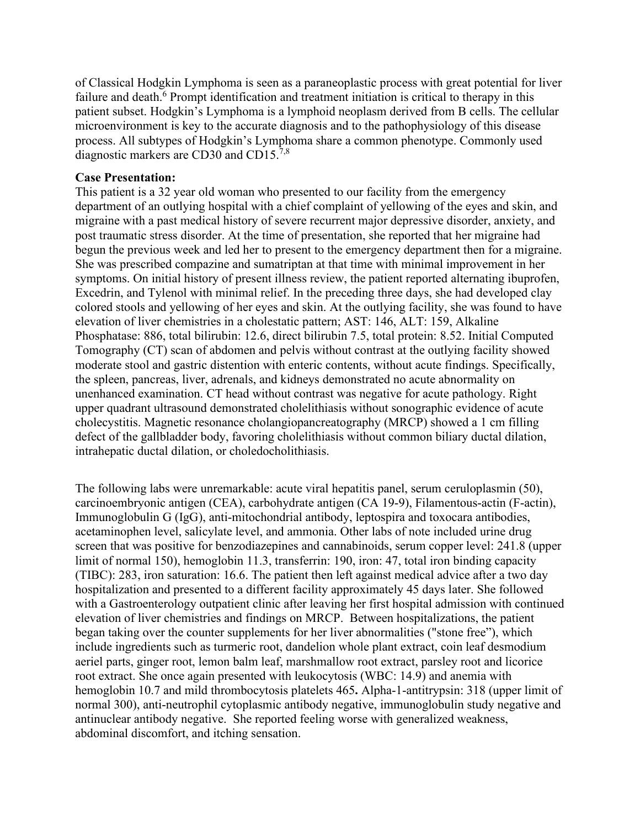of Classical Hodgkin Lymphoma is seen as a paraneoplastic process with great potential for liver failure and death.<sup>6</sup> Prompt identification and treatment initiation is critical to therapy in this patient subset. Hodgkin's Lymphoma is a lymphoid neoplasm derived from B cells. The cellular microenvironment is key to the accurate diagnosis and to the pathophysiology of this disease process. All subtypes of Hodgkin's Lymphoma share a common phenotype. Commonly used diagnostic markers are CD30 and CD15.7,8

### **Case Presentation:**

This patient is a 32 year old woman who presented to our facility from the emergency department of an outlying hospital with a chief complaint of yellowing of the eyes and skin, and migraine with a past medical history of severe recurrent major depressive disorder, anxiety, and post traumatic stress disorder. At the time of presentation, she reported that her migraine had begun the previous week and led her to present to the emergency department then for a migraine. She was prescribed compazine and sumatriptan at that time with minimal improvement in her symptoms. On initial history of present illness review, the patient reported alternating ibuprofen, Excedrin, and Tylenol with minimal relief. In the preceding three days, she had developed clay colored stools and yellowing of her eyes and skin. At the outlying facility, she was found to have elevation of liver chemistries in a cholestatic pattern; AST: 146, ALT: 159, Alkaline Phosphatase: 886, total bilirubin: 12.6, direct bilirubin 7.5, total protein: 8.52. Initial Computed Tomography (CT) scan of abdomen and pelvis without contrast at the outlying facility showed moderate stool and gastric distention with enteric contents, without acute findings. Specifically, the spleen, pancreas, liver, adrenals, and kidneys demonstrated no acute abnormality on unenhanced examination. CT head without contrast was negative for acute pathology. Right upper quadrant ultrasound demonstrated cholelithiasis without sonographic evidence of acute cholecystitis. Magnetic resonance cholangiopancreatography (MRCP) showed a 1 cm filling defect of the gallbladder body, favoring cholelithiasis without common biliary ductal dilation, intrahepatic ductal dilation, or choledocholithiasis.

The following labs were unremarkable: acute viral hepatitis panel, serum ceruloplasmin (50), carcinoembryonic antigen (CEA), carbohydrate antigen (CA 19-9), Filamentous-actin (F-actin), Immunoglobulin G (IgG), anti-mitochondrial antibody, leptospira and toxocara antibodies, acetaminophen level, salicylate level, and ammonia. Other labs of note included urine drug screen that was positive for benzodiazepines and cannabinoids, serum copper level: 241.8 (upper limit of normal 150), hemoglobin 11.3, transferrin: 190, iron: 47, total iron binding capacity (TIBC): 283, iron saturation: 16.6. The patient then left against medical advice after a two day hospitalization and presented to a different facility approximately 45 days later. She followed with a Gastroenterology outpatient clinic after leaving her first hospital admission with continued elevation of liver chemistries and findings on MRCP. Between hospitalizations, the patient began taking over the counter supplements for her liver abnormalities ("stone free"), which include ingredients such as turmeric root, dandelion whole plant extract, coin leaf desmodium aeriel parts, ginger root, lemon balm leaf, marshmallow root extract, parsley root and licorice root extract. She once again presented with leukocytosis (WBC: 14.9) and anemia with hemoglobin 10.7 and mild thrombocytosis platelets 465**.** Alpha-1-antitrypsin: 318 (upper limit of normal 300), anti-neutrophil cytoplasmic antibody negative, immunoglobulin study negative and antinuclear antibody negative. She reported feeling worse with generalized weakness, abdominal discomfort, and itching sensation.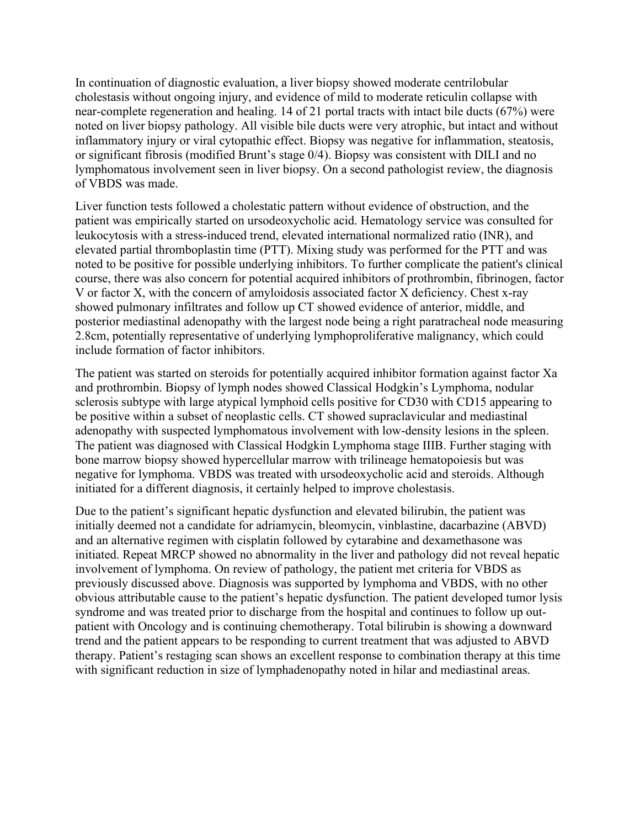In continuation of diagnostic evaluation, a liver biopsy showed moderate centrilobular cholestasis without ongoing injury, and evidence of mild to moderate reticulin collapse with near-complete regeneration and healing. 14 of 21 portal tracts with intact bile ducts (67%) were noted on liver biopsy pathology. All visible bile ducts were very atrophic, but intact and without inflammatory injury or viral cytopathic effect. Biopsy was negative for inflammation, steatosis, or significant fibrosis (modified Brunt's stage 0/4). Biopsy was consistent with DILI and no lymphomatous involvement seen in liver biopsy. On a second pathologist review, the diagnosis of VBDS was made.

Liver function tests followed a cholestatic pattern without evidence of obstruction, and the patient was empirically started on ursodeoxycholic acid. Hematology service was consulted for leukocytosis with a stress-induced trend, elevated international normalized ratio (INR), and elevated partial thromboplastin time (PTT). Mixing study was performed for the PTT and was noted to be positive for possible underlying inhibitors. To further complicate the patient's clinical course, there was also concern for potential acquired inhibitors of prothrombin, fibrinogen, factor V or factor X, with the concern of amyloidosis associated factor X deficiency. Chest x-ray showed pulmonary infiltrates and follow up CT showed evidence of anterior, middle, and posterior mediastinal adenopathy with the largest node being a right paratracheal node measuring 2.8cm, potentially representative of underlying lymphoproliferative malignancy, which could include formation of factor inhibitors.

The patient was started on steroids for potentially acquired inhibitor formation against factor Xa and prothrombin. Biopsy of lymph nodes showed Classical Hodgkin's Lymphoma, nodular sclerosis subtype with large atypical lymphoid cells positive for CD30 with CD15 appearing to be positive within a subset of neoplastic cells. CT showed supraclavicular and mediastinal adenopathy with suspected lymphomatous involvement with low-density lesions in the spleen. The patient was diagnosed with Classical Hodgkin Lymphoma stage IIIB. Further staging with bone marrow biopsy showed hypercellular marrow with trilineage hematopoiesis but was negative for lymphoma. VBDS was treated with ursodeoxycholic acid and steroids. Although initiated for a different diagnosis, it certainly helped to improve cholestasis.

Due to the patient's significant hepatic dysfunction and elevated bilirubin, the patient was initially deemed not a candidate for adriamycin, bleomycin, vinblastine, dacarbazine (ABVD) and an alternative regimen with cisplatin followed by cytarabine and dexamethasone was initiated. Repeat MRCP showed no abnormality in the liver and pathology did not reveal hepatic involvement of lymphoma. On review of pathology, the patient met criteria for VBDS as previously discussed above. Diagnosis was supported by lymphoma and VBDS, with no other obvious attributable cause to the patient's hepatic dysfunction. The patient developed tumor lysis syndrome and was treated prior to discharge from the hospital and continues to follow up outpatient with Oncology and is continuing chemotherapy. Total bilirubin is showing a downward trend and the patient appears to be responding to current treatment that was adjusted to ABVD therapy. Patient's restaging scan shows an excellent response to combination therapy at this time with significant reduction in size of lymphadenopathy noted in hilar and mediastinal areas.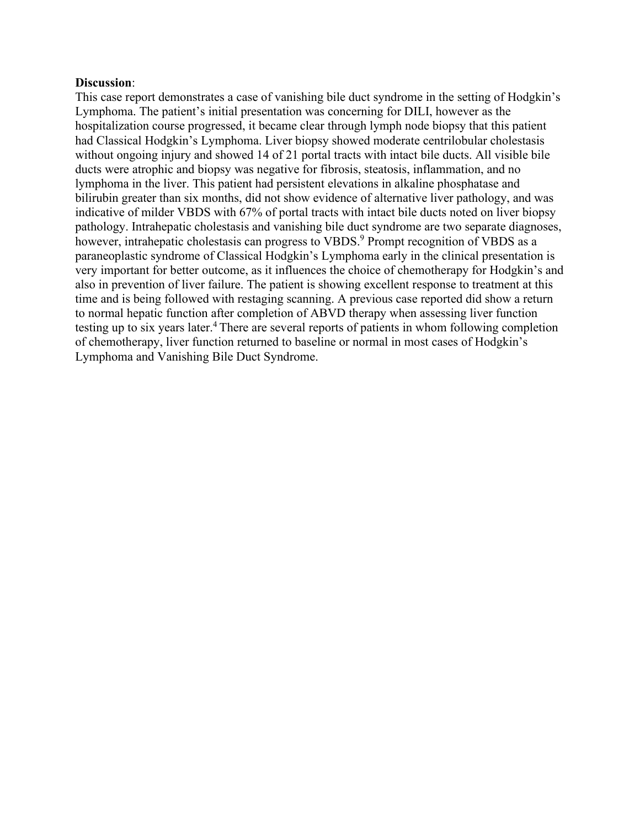#### **Discussion**:

This case report demonstrates a case of vanishing bile duct syndrome in the setting of Hodgkin's Lymphoma. The patient's initial presentation was concerning for DILI, however as the hospitalization course progressed, it became clear through lymph node biopsy that this patient had Classical Hodgkin's Lymphoma. Liver biopsy showed moderate centrilobular cholestasis without ongoing injury and showed 14 of 21 portal tracts with intact bile ducts. All visible bile ducts were atrophic and biopsy was negative for fibrosis, steatosis, inflammation, and no lymphoma in the liver. This patient had persistent elevations in alkaline phosphatase and bilirubin greater than six months, did not show evidence of alternative liver pathology, and was indicative of milder VBDS with 67% of portal tracts with intact bile ducts noted on liver biopsy pathology. Intrahepatic cholestasis and vanishing bile duct syndrome are two separate diagnoses, however, intrahepatic cholestasis can progress to VBDS.<sup>9</sup> Prompt recognition of VBDS as a paraneoplastic syndrome of Classical Hodgkin's Lymphoma early in the clinical presentation is very important for better outcome, as it influences the choice of chemotherapy for Hodgkin's and also in prevention of liver failure. The patient is showing excellent response to treatment at this time and is being followed with restaging scanning. A previous case reported did show a return to normal hepatic function after completion of ABVD therapy when assessing liver function testing up to six years later.<sup>4</sup> There are several reports of patients in whom following completion of chemotherapy, liver function returned to baseline or normal in most cases of Hodgkin's Lymphoma and Vanishing Bile Duct Syndrome.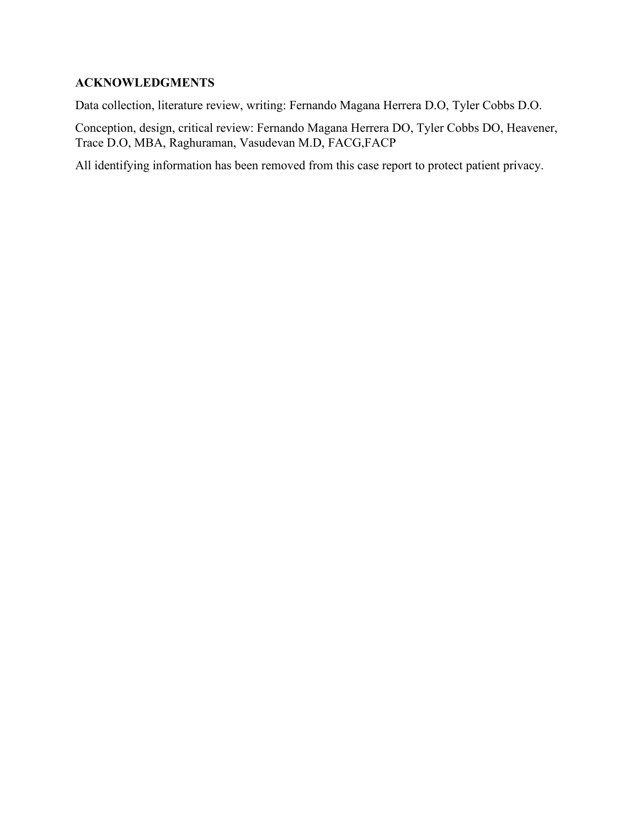# **ACKNOWLEDGMENTS**

Data collection, literature review, writing: Fernando Magana Herrera D.O, Tyler Cobbs D.O.

Conception, design, critical review: Fernando Magana Herrera DO, Tyler Cobbs DO, Heavener, Trace D.O, MBA, Raghuraman, Vasudevan M.D, FACG,FACP

All identifying information has been removed from this case report to protect patient privacy.